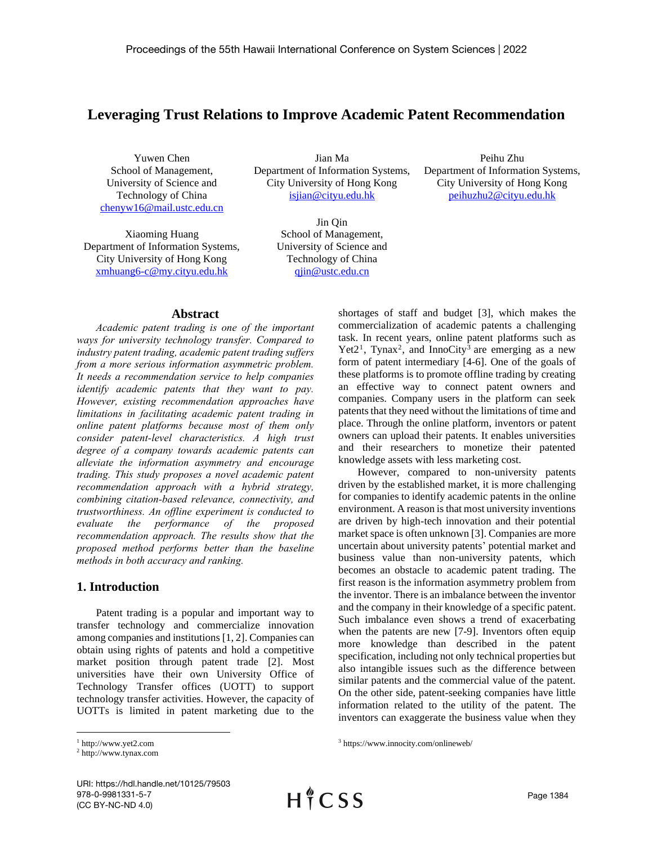# **Leveraging Trust Relations to Improve Academic Patent Recommendation**

Yuwen Chen School of Management, University of Science and Technology of China [chenyw16@mail.ustc.edu.cn](mailto:chenyw16@mail.ustc.edu.cn)

Xiaoming Huang Department of Information Systems, City University of Hong Kong [xmhuang6-c@my.cityu.edu.hk](mailto:xmhuang6-c@my.cityu.edu.hk)

Jian Ma Department of Information Systems, City University of Hong Kong [isjian@cityu.edu.hk](mailto:isjian@cityu.edu.hk)

> Jin Qin School of Management, University of Science and Technology of China [qjin@ustc.edu.cn](mailto:qjin@ustc.edu.cn)

Peihu Zhu Department of Information Systems, City University of Hong Kong [peihuzhu2@cityu.edu.hk](mailto:peihuzhu2@cityu.edu.hk)

### **Abstract**

*Academic patent trading is one of the important ways for university technology transfer. Compared to industry patent trading, academic patent trading suffers from a more serious information asymmetric problem. It needs a recommendation service to help companies identify academic patents that they want to pay. However, existing recommendation approaches have limitations in facilitating academic patent trading in online patent platforms because most of them only consider patent-level characteristics. A high trust degree of a company towards academic patents can alleviate the information asymmetry and encourage trading. This study proposes a novel academic patent recommendation approach with a hybrid strategy, combining citation-based relevance, connectivity, and trustworthiness. An offline experiment is conducted to evaluate the performance of the proposed recommendation approach. The results show that the proposed method performs better than the baseline methods in both accuracy and ranking.*

## **1. Introduction**

Patent trading is a popular and important way to transfer technology and commercialize innovation among companies and institutions [1, 2]. Companies can obtain using rights of patents and hold a competitive market position through patent trade [2]. Most universities have their own University Office of Technology Transfer offices (UOTT) to support technology transfer activities. However, the capacity of UOTTs is limited in patent marketing due to the shortages of staff and budget [3], which makes the commercialization of academic patents a challenging task. In recent years, online patent platforms such as Yet2<sup>1</sup>, Tynax<sup>2</sup>, and InnoCity<sup>3</sup> are emerging as a new form of patent intermediary [4-6]. One of the goals of these platforms is to promote offline trading by creating an effective way to connect patent owners and companies. Company users in the platform can seek patents that they need without the limitations of time and place. Through the online platform, inventors or patent owners can upload their patents. It enables universities and their researchers to monetize their patented knowledge assets with less marketing cost.

However, compared to non-university patents driven by the established market, it is more challenging for companies to identify academic patents in the online environment. A reason is that most university inventions are driven by high-tech innovation and their potential market space is often unknown [3]. Companies are more uncertain about university patents' potential market and business value than non-university patents, which becomes an obstacle to academic patent trading. The first reason is the information asymmetry problem from the inventor. There is an imbalance between the inventor and the company in their knowledge of a specific patent. Such imbalance even shows a trend of exacerbating when the patents are new [7-9]. Inventors often equip more knowledge than described in the patent specification, including not only technical properties but also intangible issues such as the difference between similar patents and the commercial value of the patent. On the other side, patent-seeking companies have little information related to the utility of the patent. The inventors can exaggerate the business value when they

<sup>3</sup> https://www.innocity.com/onlineweb/

<sup>1</sup> http://www.yet2.com

<sup>2</sup> http://www.tynax.com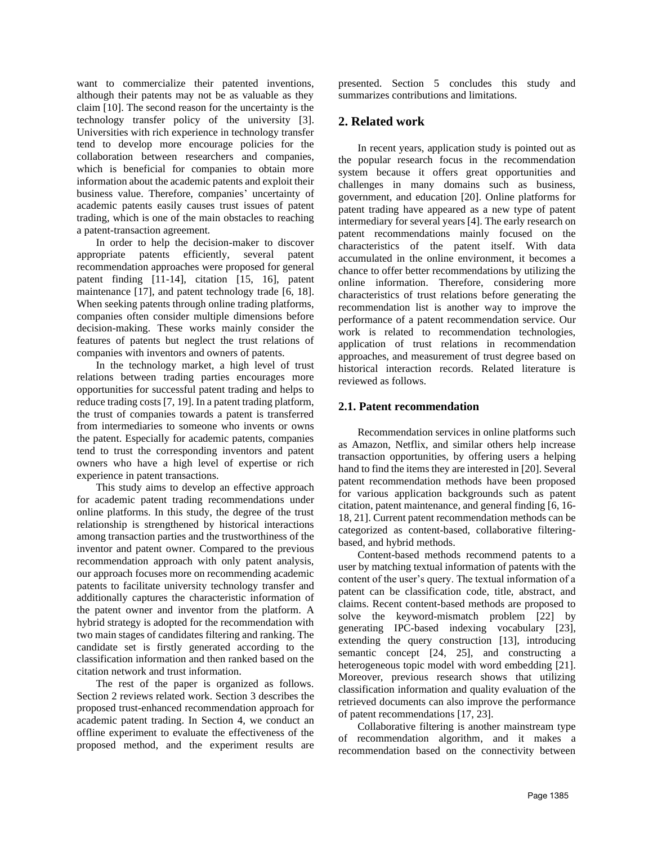want to commercialize their patented inventions, although their patents may not be as valuable as they claim [10]. The second reason for the uncertainty is the technology transfer policy of the university [3]. Universities with rich experience in technology transfer tend to develop more encourage policies for the collaboration between researchers and companies, which is beneficial for companies to obtain more information about the academic patents and exploit their business value. Therefore, companies' uncertainty of academic patents easily causes trust issues of patent trading, which is one of the main obstacles to reaching a patent-transaction agreement.

In order to help the decision-maker to discover appropriate patents efficiently, several patent recommendation approaches were proposed for general patent finding [11-14], citation [15, 16], patent maintenance [17], and patent technology trade [6, 18]. When seeking patents through online trading platforms, companies often consider multiple dimensions before decision-making. These works mainly consider the features of patents but neglect the trust relations of companies with inventors and owners of patents.

In the technology market, a high level of trust relations between trading parties encourages more opportunities for successful patent trading and helps to reduce trading costs [7, 19]. In a patent trading platform, the trust of companies towards a patent is transferred from intermediaries to someone who invents or owns the patent. Especially for academic patents, companies tend to trust the corresponding inventors and patent owners who have a high level of expertise or rich experience in patent transactions.

This study aims to develop an effective approach for academic patent trading recommendations under online platforms. In this study, the degree of the trust relationship is strengthened by historical interactions among transaction parties and the trustworthiness of the inventor and patent owner. Compared to the previous recommendation approach with only patent analysis, our approach focuses more on recommending academic patents to facilitate university technology transfer and additionally captures the characteristic information of the patent owner and inventor from the platform. A hybrid strategy is adopted for the recommendation with two main stages of candidates filtering and ranking. The candidate set is firstly generated according to the classification information and then ranked based on the citation network and trust information.

The rest of the paper is organized as follows. Section 2 reviews related work. Section 3 describes the proposed trust-enhanced recommendation approach for academic patent trading. In Section 4, we conduct an offline experiment to evaluate the effectiveness of the proposed method, and the experiment results are presented. Section 5 concludes this study and summarizes contributions and limitations.

## **2. Related work**

In recent years, application study is pointed out as the popular research focus in the recommendation system because it offers great opportunities and challenges in many domains such as business, government, and education [20]. Online platforms for patent trading have appeared as a new type of patent intermediary for several years [4]. The early research on patent recommendations mainly focused on the characteristics of the patent itself. With data accumulated in the online environment, it becomes a chance to offer better recommendations by utilizing the online information. Therefore, considering more characteristics of trust relations before generating the recommendation list is another way to improve the performance of a patent recommendation service. Our work is related to recommendation technologies, application of trust relations in recommendation approaches, and measurement of trust degree based on historical interaction records. Related literature is reviewed as follows.

### **2.1. Patent recommendation**

Recommendation services in online platforms such as Amazon, Netflix, and similar others help increase transaction opportunities, by offering users a helping hand to find the items they are interested in [20]. Several patent recommendation methods have been proposed for various application backgrounds such as patent citation, patent maintenance, and general finding [6, 16- 18, 21]. Current patent recommendation methods can be categorized as content-based, collaborative filteringbased, and hybrid methods.

Content-based methods recommend patents to a user by matching textual information of patents with the content of the user's query. The textual information of a patent can be classification code, title, abstract, and claims. Recent content-based methods are proposed to solve the keyword-mismatch problem [22] by generating IPC-based indexing vocabulary [23], extending the query construction [13], introducing semantic concept [24, 25], and constructing a heterogeneous topic model with word embedding [21]. Moreover, previous research shows that utilizing classification information and quality evaluation of the retrieved documents can also improve the performance of patent recommendations [17, 23].

Collaborative filtering is another mainstream type of recommendation algorithm, and it makes a recommendation based on the connectivity between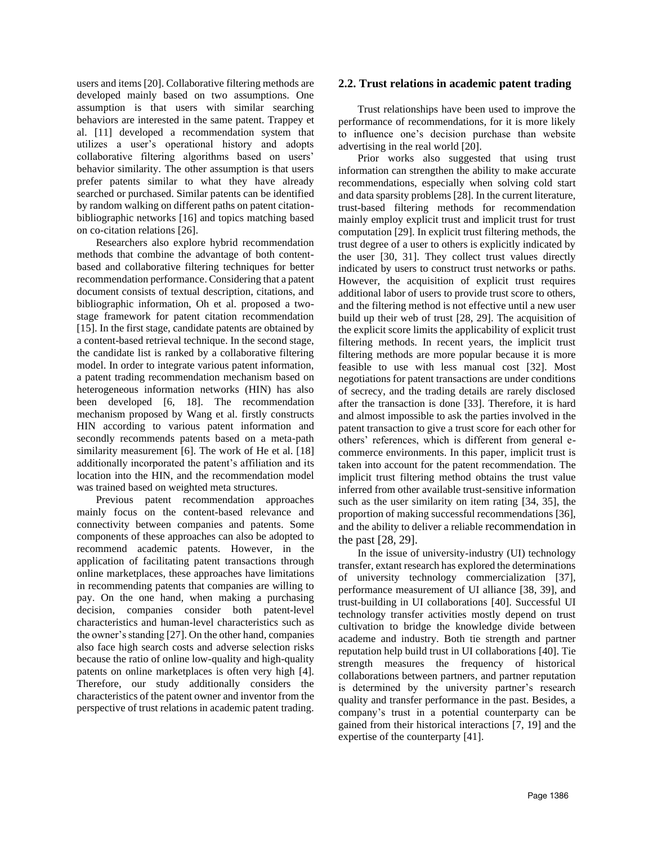users and items [20]. Collaborative filtering methods are developed mainly based on two assumptions. One assumption is that users with similar searching behaviors are interested in the same patent. Trappey et al. [11] developed a recommendation system that utilizes a user's operational history and adopts collaborative filtering algorithms based on users' behavior similarity. The other assumption is that users prefer patents similar to what they have already searched or purchased. Similar patents can be identified by random walking on different paths on patent citationbibliographic networks [16] and topics matching based on co-citation relations [26].

Researchers also explore hybrid recommendation methods that combine the advantage of both contentbased and collaborative filtering techniques for better recommendation performance. Considering that a patent document consists of textual description, citations, and bibliographic information, Oh et al. proposed a twostage framework for patent citation recommendation [15]. In the first stage, candidate patents are obtained by a content-based retrieval technique. In the second stage, the candidate list is ranked by a collaborative filtering model. In order to integrate various patent information, a patent trading recommendation mechanism based on heterogeneous information networks (HIN) has also been developed [6, 18]. The recommendation mechanism proposed by Wang et al. firstly constructs HIN according to various patent information and secondly recommends patents based on a meta-path similarity measurement [6]. The work of He et al. [18] additionally incorporated the patent's affiliation and its location into the HIN, and the recommendation model was trained based on weighted meta structures.

Previous patent recommendation approaches mainly focus on the content-based relevance and connectivity between companies and patents. Some components of these approaches can also be adopted to recommend academic patents. However, in the application of facilitating patent transactions through online marketplaces, these approaches have limitations in recommending patents that companies are willing to pay. On the one hand, when making a purchasing decision, companies consider both patent-level characteristics and human-level characteristics such as the owner's standing [27]. On the other hand, companies also face high search costs and adverse selection risks because the ratio of online low-quality and high-quality patents on online marketplaces is often very high [4]. Therefore, our study additionally considers the characteristics of the patent owner and inventor from the perspective of trust relations in academic patent trading.

### **2.2. Trust relations in academic patent trading**

Trust relationships have been used to improve the performance of recommendations, for it is more likely to influence one's decision purchase than website advertising in the real world [20].

Prior works also suggested that using trust information can strengthen the ability to make accurate recommendations, especially when solving cold start and data sparsity problems [28]. In the current literature, trust-based filtering methods for recommendation mainly employ explicit trust and implicit trust for trust computation [29]. In explicit trust filtering methods, the trust degree of a user to others is explicitly indicated by the user [30, 31]. They collect trust values directly indicated by users to construct trust networks or paths. However, the acquisition of explicit trust requires additional labor of users to provide trust score to others, and the filtering method is not effective until a new user build up their web of trust [28, 29]. The acquisition of the explicit score limits the applicability of explicit trust filtering methods. In recent years, the implicit trust filtering methods are more popular because it is more feasible to use with less manual cost [32]. Most negotiations for patent transactions are under conditions of secrecy, and the trading details are rarely disclosed after the transaction is done [33]. Therefore, it is hard and almost impossible to ask the parties involved in the patent transaction to give a trust score for each other for others' references, which is different from general ecommerce environments. In this paper, implicit trust is taken into account for the patent recommendation. The implicit trust filtering method obtains the trust value inferred from other available trust-sensitive information such as the user similarity on item rating [34, 35], the proportion of making successful recommendations [36], and the ability to deliver a reliable recommendation in the past [28, 29].

In the issue of university-industry (UI) technology transfer, extant research has explored the determinations of university technology commercialization [37], performance measurement of UI alliance [38, 39], and trust-building in UI collaborations [40]. Successful UI technology transfer activities mostly depend on trust cultivation to bridge the knowledge divide between academe and industry. Both tie strength and partner reputation help build trust in UI collaborations [40]. Tie strength measures the frequency of historical collaborations between partners, and partner reputation is determined by the university partner's research quality and transfer performance in the past. Besides, a company's trust in a potential counterparty can be gained from their historical interactions [7, 19] and the expertise of the counterparty [41].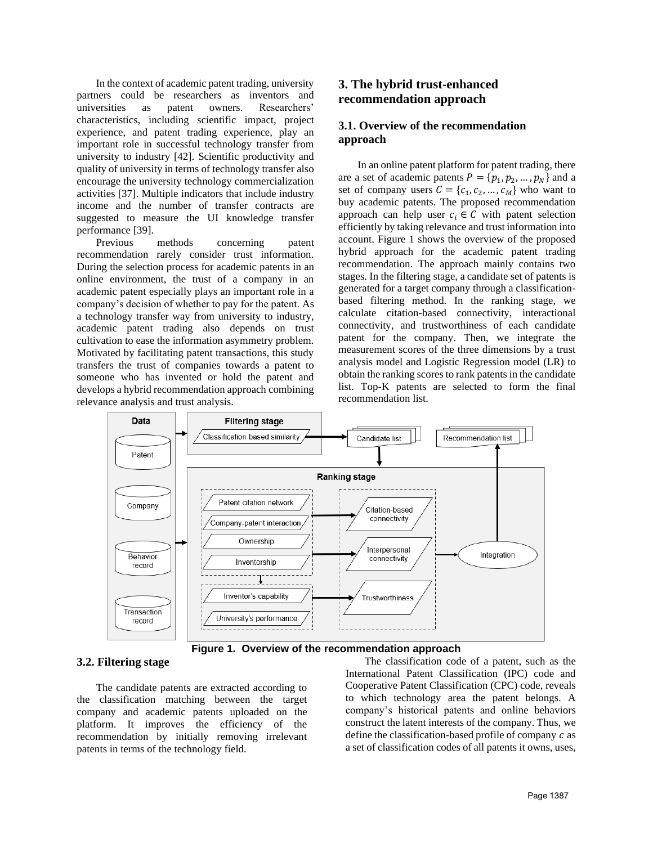In the context of academic patent trading, university partners could be researchers as inventors and universities as patent owners. Researchers' characteristics, including scientific impact, project experience, and patent trading experience, play an important role in successful technology transfer from university to industry [42]. Scientific productivity and quality of university in terms of technology transfer also encourage the university technology commercialization activities [37]. Multiple indicators that include industry income and the number of transfer contracts are suggested to measure the UI knowledge transfer performance [39].

Previous methods concerning patent recommendation rarely consider trust information. During the selection process for academic patents in an online environment, the trust of a company in an academic patent especially plays an important role in a company's decision of whether to pay for the patent. As a technology transfer way from university to industry, academic patent trading also depends on trust cultivation to ease the information asymmetry problem. Motivated by facilitating patent transactions, this study transfers the trust of companies towards a patent to someone who has invented or hold the patent and develops a hybrid recommendation approach combining relevance analysis and trust analysis.

## **3. The hybrid trust-enhanced recommendation approach**

## **3.1. Overview of the recommendation approach**

In an online patent platform for patent trading, there are a set of academic patents  $P = \{p_1, p_2, ..., p_N\}$  and a set of company users  $C = \{c_1, c_2, ..., c_M\}$  who want to buy academic patents. The proposed recommendation approach can help user  $c_i \in C$  with patent selection efficiently by taking relevance and trust information into account. Figure 1 shows the overview of the proposed hybrid approach for the academic patent trading recommendation. The approach mainly contains two stages. In the filtering stage, a candidate set of patents is generated for a target company through a classificationbased filtering method. In the ranking stage, we calculate citation-based connectivity, interactional connectivity, and trustworthiness of each candidate patent for the company. Then, we integrate the measurement scores of the three dimensions by a trust analysis model and Logistic Regression model (LR) to obtain the ranking scores to rank patents in the candidate list. Top-K patents are selected to form the final recommendation list.



**Figure 1. Overview of the recommendation approach**

### **3.2. Filtering stage**

The candidate patents are extracted according to the classification matching between the target company and academic patents uploaded on the platform. It improves the efficiency of the recommendation by initially removing irrelevant patents in terms of the technology field.

The classification code of a patent, such as the International Patent Classification (IPC) code and Cooperative Patent Classification (CPC) code, reveals to which technology area the patent belongs. A company's historical patents and online behaviors construct the latent interests of the company. Thus, we define the classification-based profile of company  $c$  as a set of classification codes of all patents it owns, uses,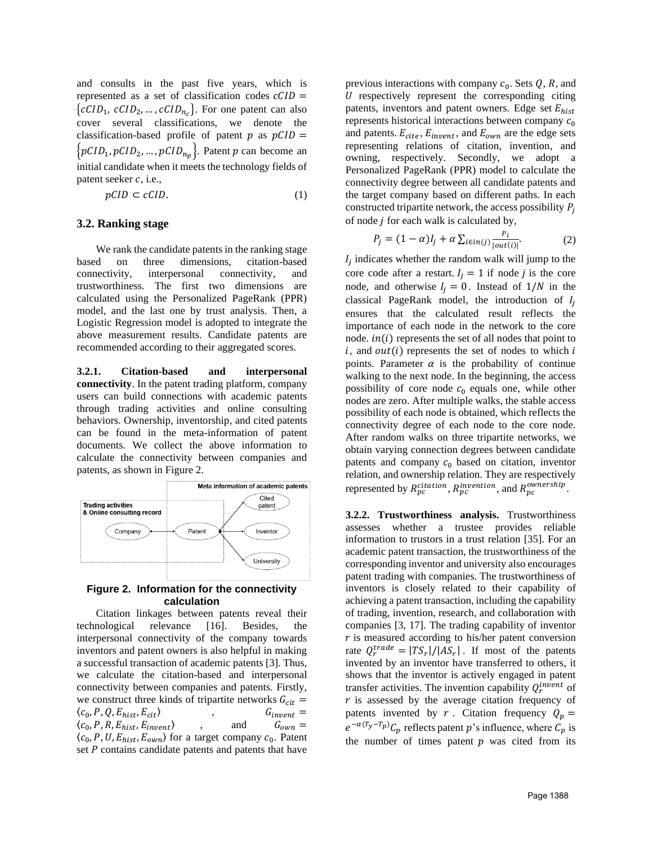and consults in the past five years, which is represented as a set of classification codes  $cCID =$  ${cCID_1, cCID_2, ..., cCID_{n_c}}$ . For one patent can also cover several classifications, we denote the classification-based profile of patent  $p$  as  $pCID =$  $\left\{pCID_1, pCID_2, ..., pCID_{n_p}\right\}$ . Patent p can become an initial candidate when it meets the technology fields of patent seeker  $c$ , i.e.,

$$
pCID \subset cCID. \tag{1}
$$

#### **3.2. Ranking stage**

We rank the candidate patents in the ranking stage based on three dimensions, citation-based connectivity, interpersonal connectivity, and trustworthiness. The first two dimensions are calculated using the Personalized PageRank (PPR) model, and the last one by trust analysis. Then, a Logistic Regression model is adopted to integrate the above measurement results. Candidate patents are recommended according to their aggregated scores.

**3.2.1. Citation-based and interpersonal connectivity**. In the patent trading platform, company users can build connections with academic patents through trading activities and online consulting behaviors. Ownership, inventorship, and cited patents can be found in the meta-information of patent documents. We collect the above information to calculate the connectivity between companies and patents, as shown in Figure 2.



#### **Figure 2. Information for the connectivity calculation**

Citation linkages between patents reveal their technological relevance [16]. Besides, the interpersonal connectivity of the company towards inventors and patent owners is also helpful in making a successful transaction of academic patents [3]. Thus, we calculate the citation-based and interpersonal connectivity between companies and patents. Firstly, we construct three kinds of tripartite networks  $G_{cit} = (c_0, P, Q, E_{hist}, E_{cit})$ ,  $G_{invent} =$  $\langle c_0, P, Q, E_{hist}, E_{cit} \rangle$ ,  $G_{invent} =$  $\langle c_0, P, R, E_{hist}, E_{invert} \rangle$  , and  $G_{own} =$  $\langle c_0, P, U, E_{hist}, E_{own} \rangle$  for a target company  $c_0$ . Patent set  $P$  contains candidate patents and patents that have

previous interactions with company  $c_0$ . Sets  $Q$ , R, and  $U$  respectively represent the corresponding citing patents, inventors and patent owners. Edge set  $E_{hist}$ represents historical interactions between company  $c_0$ and patents.  $E_{\text{cite}}, E_{\text{invent}}$ , and  $E_{\text{own}}$  are the edge sets representing relations of citation, invention, and owning, respectively. Secondly, we adopt a Personalized PageRank (PPR) model to calculate the connectivity degree between all candidate patents and the target company based on different paths. In each constructed tripartite network, the access possibility  $P_i$ of node  $j$  for each walk is calculated by,

$$
P_j = (1 - \alpha)I_j + \alpha \sum_{i \in in(j)} \frac{P_i}{|out(i)|}.
$$
 (2)

 $I_j$  indicates whether the random walk will jump to the core code after a restart.  $I_i = 1$  if node *j* is the core node, and otherwise  $I_i = 0$ . Instead of  $1/N$  in the classical PageRank model, the introduction of  $I_i$ ensures that the calculated result reflects the importance of each node in the network to the core node.  $in(i)$  represents the set of all nodes that point to  $i$ , and  $out(i)$  represents the set of nodes to which  $i$ points. Parameter  $\alpha$  is the probability of continue walking to the next node. In the beginning, the access possibility of core node  $c_0$  equals one, while other nodes are zero. After multiple walks, the stable access possibility of each node is obtained, which reflects the connectivity degree of each node to the core node. After random walks on three tripartite networks, we obtain varying connection degrees between candidate patents and company  $c_0$  based on citation, inventor relation, and ownership relation. They are respectively represented by  $R_{pc}^{citation}$ ,  $R_{pc}^{invention}$ , and  $R_{pc}^{ownership}$ .

**3.2.2. Trustworthiness analysis.** Trustworthiness assesses whether a trustee provides reliable information to trustors in a trust relation [35]. For an academic patent transaction, the trustworthiness of the corresponding inventor and university also encourages patent trading with companies. The trustworthiness of inventors is closely related to their capability of achieving a patent transaction, including the capability of trading, invention, research, and collaboration with companies [3, 17]. The trading capability of inventor  *is measured according to his/her patent conversion* rate  $Q_r^{trade} = |TS_r|/|AS_r|$ . If most of the patents invented by an inventor have transferred to others, it shows that the inventor is actively engaged in patent transfer activities. The invention capability  $Q_r^{invent}$  of  *is assessed by the average citation frequency of* patents invented by r. Citation frequency  $Q_p =$  $e^{-\alpha(T_y-T_p)}C_p$  reflects patent p's influence, where  $C_p$  is the number of times patent  $p$  was cited from its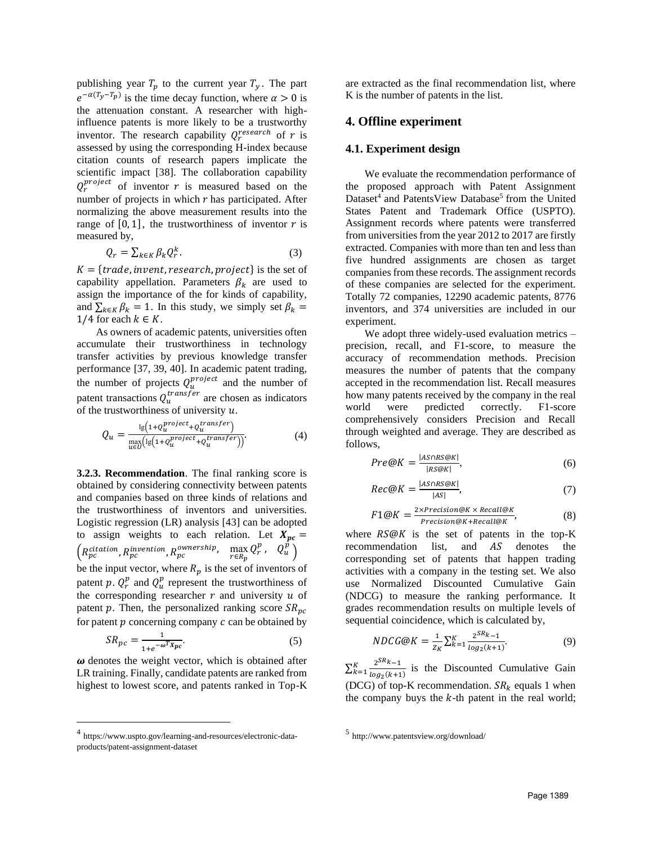publishing year  $T_p$  to the current year  $T_y$ . The part  $e^{-\alpha(T_y-T_p)}$  is the time decay function, where  $\alpha > 0$  is the attenuation constant. A researcher with highinfluence patents is more likely to be a trustworthy inventor. The research capability  $Q_r^{research}$  of r is assessed by using the corresponding H-index because citation counts of research papers implicate the scientific impact [38]. The collaboration capability  $Q_r^{project}$  of inventor r is measured based on the number of projects in which  $r$  has participated. After normalizing the above measurement results into the range of  $[0, 1]$ , the trustworthiness of inventor r is measured by,

$$
Q_r = \sum_{k \in K} \beta_k Q_r^k. \tag{3}
$$

 $K = \{trade, invent, research, project\}$  is the set of capability appellation. Parameters  $\beta_k$  are used to assign the importance of the for kinds of capability, and  $\sum_{k \in K} \beta_k = 1$ . In this study, we simply set  $\beta_k =$ 1/4 for each  $k \in K$ .

As owners of academic patents, universities often accumulate their trustworthiness in technology transfer activities by previous knowledge transfer performance [37, 39, 40]. In academic patent trading, the number of projects  $Q_u^{project}$  and the number of patent transactions  $Q_u^{transfer}$  are chosen as indicators of the trustworthiness of university  $u$ .

$$
Q_u = \frac{\lg(1 + Q_u^{project} + Q_u^{transfer})}{\max_{u \in \mathcal{U}} (\lg(1 + Q_u^{project} + Q_u^{transfer}))}.
$$
 (4)

**3.2.3. Recommendation**. The final ranking score is obtained by considering connectivity between patents and companies based on three kinds of relations and the trustworthiness of inventors and universities. Logistic regression (LR) analysis [43] can be adopted to assign weights to each relation. Let  $X_{pc} =$  $\left(R_{pc}^{citation}, R_{pc}^{invention}, R_{pc}^{ownership}, \max_{r \in R_p} Q_r^p, \quad Q_u^p\right)$ 

be the input vector, where  $R_n$  is the set of inventors of patent p.  $Q_r^p$  and  $Q_u^p$  represent the trustworthiness of the corresponding researcher  $r$  and university  $u$  of patent  $p$ . Then, the personalized ranking score  $SR_{pc}$ for patent  $p$  concerning company  $c$  can be obtained by

$$
SR_{pc} = \frac{1}{1 + e^{-\omega T} x_{pc}}.\tag{5}
$$

 $\omega$  denotes the weight vector, which is obtained after LR training. Finally, candidate patents are ranked from highest to lowest score, and patents ranked in Top-K

are extracted as the final recommendation list, where K is the number of patents in the list.

### **4. Offline experiment**

#### **4.1. Experiment design**

We evaluate the recommendation performance of the proposed approach with Patent Assignment Dataset<sup>4</sup> and PatentsView Database<sup>5</sup> from the United States Patent and Trademark Office (USPTO). Assignment records where patents were transferred from universities from the year 2012 to 2017 are firstly extracted. Companies with more than ten and less than five hundred assignments are chosen as target companies from these records. The assignment records of these companies are selected for the experiment. Totally 72 companies, 12290 academic patents, 8776 inventors, and 374 universities are included in our experiment.

We adopt three widely-used evaluation metrics – precision, recall, and F1-score, to measure the accuracy of recommendation methods. Precision measures the number of patents that the company accepted in the recommendation list. Recall measures how many patents received by the company in the real world were predicted correctly. F1-score comprehensively considers Precision and Recall through weighted and average. They are described as follows,

$$
Pre@K = \frac{|AS \cap RS@K|}{|RS@K|},\tag{6}
$$

$$
Rec@K = \frac{|AS \cap RS@K|}{|AS|},\tag{7}
$$

$$
F1@K = \frac{2 \times Precision@K \times Recall@K}{Precision@K + Recall@K},
$$
\n(8)

where  $RS@K$  is the set of patents in the top-K recommendation list, and AS denotes the corresponding set of patents that happen trading activities with a company in the testing set. We also use Normalized Discounted Cumulative Gain (NDCG) to measure the ranking performance. It grades recommendation results on multiple levels of sequential coincidence, which is calculated by,

$$
NDCG@K = \frac{1}{z_K} \sum_{k=1}^{K} \frac{2^{SR_{k-1}}}{\log_2(k+1)}.
$$
 (9)

 $\sum_{k=1}^{K} \frac{2^{SR_{k-1}}}{k}$  $log_2(k+1)$  $\frac{K}{k=1} \frac{2^{3k} - 1}{\log(k+1)}$  is the Discounted Cumulative Gain (DCG) of top-K recommendation.  $SR_k$  equals 1 when the company buys the  $k$ -th patent in the real world;

<sup>4</sup> https://www.uspto.gov/learning-and-resources/electronic-dataproducts/patent-assignment-dataset

<sup>5</sup> <http://www.patentsview.org/download/>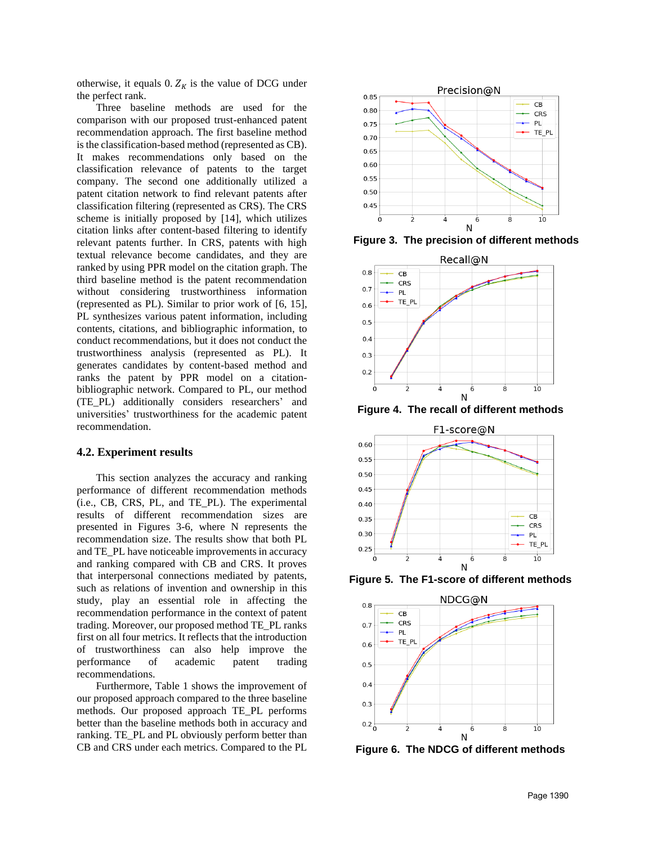otherwise, it equals 0.  $Z_K$  is the value of DCG under the perfect rank.

Three baseline methods are used for the comparison with our proposed trust-enhanced patent recommendation approach. The first baseline method is the classification-based method (represented as CB). It makes recommendations only based on the classification relevance of patents to the target company. The second one additionally utilized a patent citation network to find relevant patents after classification filtering (represented as CRS). The CRS scheme is initially proposed by [14], which utilizes citation links after content-based filtering to identify relevant patents further. In CRS, patents with high textual relevance become candidates, and they are ranked by using PPR model on the citation graph. The third baseline method is the patent recommendation without considering trustworthiness information (represented as PL). Similar to prior work of [6, 15], PL synthesizes various patent information, including contents, citations, and bibliographic information, to conduct recommendations, but it does not conduct the trustworthiness analysis (represented as PL). It generates candidates by content-based method and ranks the patent by PPR model on a citationbibliographic network. Compared to PL, our method (TE\_PL) additionally considers researchers' and universities' trustworthiness for the academic patent recommendation.

#### **4.2. Experiment results**

This section analyzes the accuracy and ranking performance of different recommendation methods (i.e., CB, CRS, PL, and TE\_PL). The experimental results of different recommendation sizes are presented in Figures 3-6, where N represents the recommendation size. The results show that both PL and TE\_PL have noticeable improvements in accuracy and ranking compared with CB and CRS. It proves that interpersonal connections mediated by patents, such as relations of invention and ownership in this study, play an essential role in affecting the recommendation performance in the context of patent trading. Moreover, our proposed method TE\_PL ranks first on all four metrics. It reflects that the introduction of trustworthiness can also help improve the performance of academic patent trading recommendations.

Furthermore, Table 1 shows the improvement of our proposed approach compared to the three baseline methods. Our proposed approach TE\_PL performs better than the baseline methods both in accuracy and ranking. TE\_PL and PL obviously perform better than CB and CRS under each metrics. Compared to the PL



**Figure 3. The precision of different methods**



**Figure 4. The recall of different methods**



**Figure 5. The F1-score of different methods**



**Figure 6. The NDCG of different methods**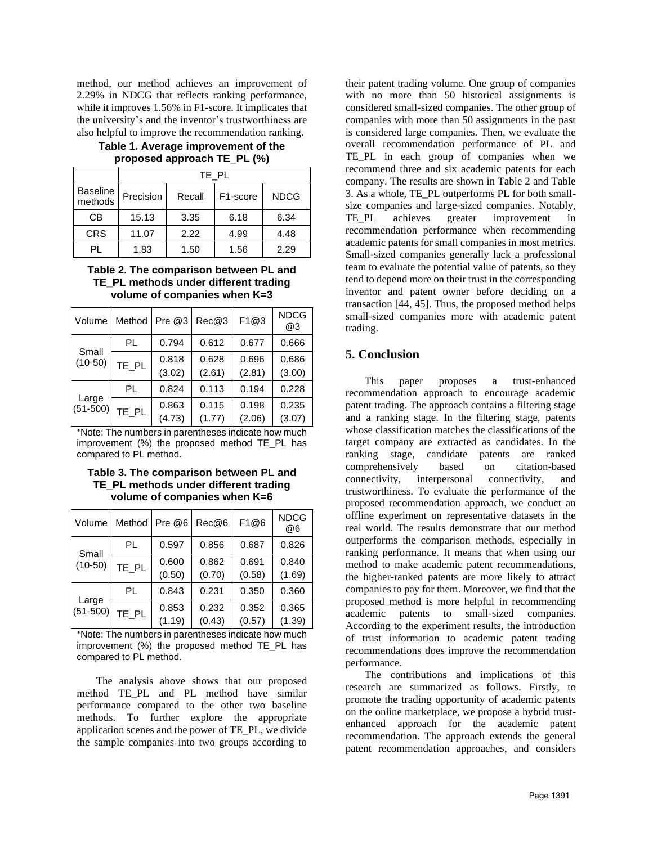method, our method achieves an improvement of 2.29% in NDCG that reflects ranking performance, while it improves 1.56% in F1-score. It implicates that the university's and the inventor's trustworthiness are also helpful to improve the recommendation ranking.

|                            | TE PL     |        |          |             |  |  |  |
|----------------------------|-----------|--------|----------|-------------|--|--|--|
| <b>Baseline</b><br>methods | Precision | Recall | F1-score | <b>NDCG</b> |  |  |  |
| СB                         | 15.13     | 3.35   | 6.18     | 6.34        |  |  |  |
| <b>CRS</b>                 | 11.07     | 2.22   | 4.99     | 4.48        |  |  |  |
| PL                         | 1.83      | 1.50   | 1.56     | 2.29        |  |  |  |

### **Table 1. Average improvement of the proposed approach TE\_PL (%)**

### **Table 2. The comparison between PL and TE\_PL methods under different trading volume of companies when K=3**

| Volume                | Method | Pre @3 | Rec@3  | F1@3   | <b>NDCG</b><br>@3 |
|-----------------------|--------|--------|--------|--------|-------------------|
| Small<br>$(10-50)$    | PL     | 0.794  | 0.612  | 0.677  | 0.666             |
|                       | TE_PL  | 0.818  | 0.628  | 0.696  | 0.686             |
|                       |        | (3.02) | (2.61) | (2.81) | (3.00)            |
| Large<br>$(51 - 500)$ | PL     | 0.824  | 0.113  | 0.194  | 0.228             |
|                       | TE_PL  | 0.863  | 0.115  | 0.198  | 0.235             |
|                       |        | (4.73) | (1.77) | (2.06) | (3.07)            |

\*Note: The numbers in parentheses indicate how much improvement (%) the proposed method TE\_PL has compared to PL method.

**Table 3. The comparison between PL and TE\_PL methods under different trading volume of companies when K=6**

| Volume              | Method | Pre @6          | Rec@6           | F1@6            | <b>NDCG</b><br>@6 |
|---------------------|--------|-----------------|-----------------|-----------------|-------------------|
| Small<br>$(10-50)$  | PL     | 0.597           | 0.856           | 0.687           | 0.826             |
|                     | TE_PL  | 0.600<br>(0.50) | 0.862<br>(0.70) | 0.691<br>(0.58) | 0.840<br>(1.69)   |
| Large<br>$(51-500)$ | PL     | 0.843           | 0.231           | 0.350           | 0.360             |
|                     | TE_PL  | 0.853<br>(1.19) | 0.232<br>(0.43) | 0.352<br>(0.57) | 0.365<br>(1.39)   |

\*Note: The numbers in parentheses indicate how much improvement (%) the proposed method TE\_PL has compared to PL method.

The analysis above shows that our proposed method TE\_PL and PL method have similar performance compared to the other two baseline methods. To further explore the appropriate application scenes and the power of TE\_PL, we divide the sample companies into two groups according to their patent trading volume. One group of companies with no more than 50 historical assignments is considered small-sized companies. The other group of companies with more than 50 assignments in the past is considered large companies. Then, we evaluate the overall recommendation performance of PL and TE\_PL in each group of companies when we recommend three and six academic patents for each company. The results are shown in Table 2 and Table 3. As a whole, TE\_PL outperforms PL for both smallsize companies and large-sized companies. Notably, TE\_PL achieves greater improvement in recommendation performance when recommending academic patents for small companies in most metrics. Small-sized companies generally lack a professional team to evaluate the potential value of patents, so they tend to depend more on their trust in the corresponding inventor and patent owner before deciding on a transaction [44, 45]. Thus, the proposed method helps small-sized companies more with academic patent trading.

## **5. Conclusion**

This paper proposes a trust-enhanced recommendation approach to encourage academic patent trading. The approach contains a filtering stage and a ranking stage. In the filtering stage, patents whose classification matches the classifications of the target company are extracted as candidates. In the ranking stage, candidate patents are ranked comprehensively based on citation-based connectivity, interpersonal connectivity, and trustworthiness. To evaluate the performance of the proposed recommendation approach, we conduct an offline experiment on representative datasets in the real world. The results demonstrate that our method outperforms the comparison methods, especially in ranking performance. It means that when using our method to make academic patent recommendations, the higher-ranked patents are more likely to attract companies to pay for them. Moreover, we find that the proposed method is more helpful in recommending academic patents to small-sized companies. According to the experiment results, the introduction of trust information to academic patent trading recommendations does improve the recommendation performance.

The contributions and implications of this research are summarized as follows. Firstly, to promote the trading opportunity of academic patents on the online marketplace, we propose a hybrid trustenhanced approach for the academic patent recommendation. The approach extends the general patent recommendation approaches, and considers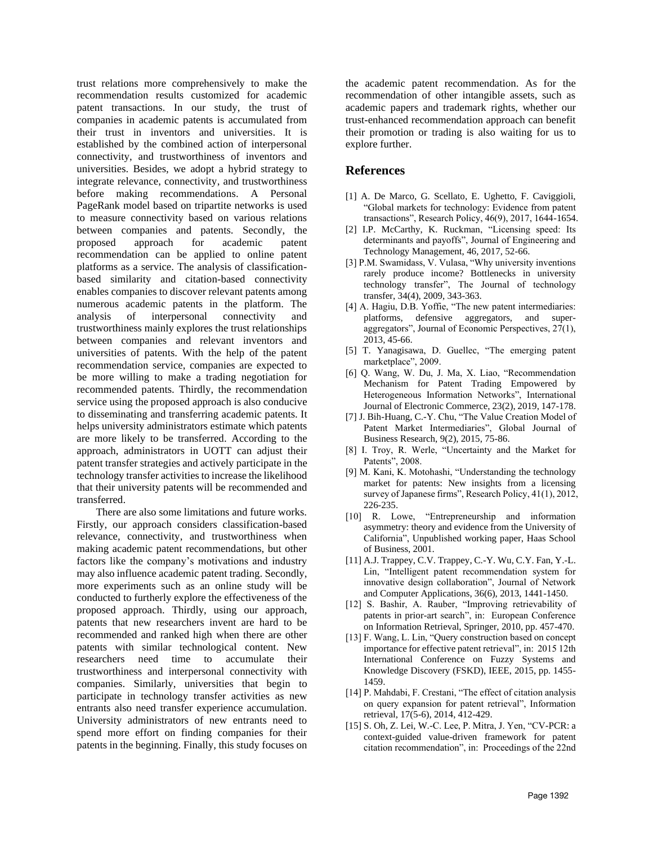trust relations more comprehensively to make the recommendation results customized for academic patent transactions. In our study, the trust of companies in academic patents is accumulated from their trust in inventors and universities. It is established by the combined action of interpersonal connectivity, and trustworthiness of inventors and universities. Besides, we adopt a hybrid strategy to integrate relevance, connectivity, and trustworthiness before making recommendations. A Personal PageRank model based on tripartite networks is used to measure connectivity based on various relations between companies and patents. Secondly, the proposed approach for academic patent recommendation can be applied to online patent platforms as a service. The analysis of classificationbased similarity and citation-based connectivity enables companies to discover relevant patents among numerous academic patents in the platform. The analysis of interpersonal connectivity and trustworthiness mainly explores the trust relationships between companies and relevant inventors and universities of patents. With the help of the patent recommendation service, companies are expected to be more willing to make a trading negotiation for recommended patents. Thirdly, the recommendation service using the proposed approach is also conducive to disseminating and transferring academic patents. It helps university administrators estimate which patents are more likely to be transferred. According to the approach, administrators in UOTT can adjust their patent transfer strategies and actively participate in the technology transfer activities to increase the likelihood that their university patents will be recommended and transferred.

There are also some limitations and future works. Firstly, our approach considers classification-based relevance, connectivity, and trustworthiness when making academic patent recommendations, but other factors like the company's motivations and industry may also influence academic patent trading. Secondly, more experiments such as an online study will be conducted to furtherly explore the effectiveness of the proposed approach. Thirdly, using our approach, patents that new researchers invent are hard to be recommended and ranked high when there are other patents with similar technological content. New researchers need time to accumulate their trustworthiness and interpersonal connectivity with companies. Similarly, universities that begin to participate in technology transfer activities as new entrants also need transfer experience accumulation. University administrators of new entrants need to spend more effort on finding companies for their patents in the beginning. Finally, this study focuses on

the academic patent recommendation. As for the recommendation of other intangible assets, such as academic papers and trademark rights, whether our trust-enhanced recommendation approach can benefit their promotion or trading is also waiting for us to explore further.

### **References**

- [1] A. De Marco, G. Scellato, E. Ughetto, F. Caviggioli, "Global markets for technology: Evidence from patent transactions", Research Policy, 46(9), 2017, 1644-1654.
- [2] I.P. McCarthy, K. Ruckman, "Licensing speed: Its determinants and payoffs", Journal of Engineering and Technology Management, 46, 2017, 52-66.
- [3] P.M. Swamidass, V. Vulasa, "Why university inventions rarely produce income? Bottlenecks in university technology transfer", The Journal of technology transfer, 34(4), 2009, 343-363.
- [4] A. Hagiu, D.B. Yoffie, "The new patent intermediaries: platforms, defensive aggregators, and superaggregators", Journal of Economic Perspectives, 27(1), 2013, 45-66.
- [5] T. Yanagisawa, D. Guellec, "The emerging patent marketplace", 2009.
- [6] Q. Wang, W. Du, J. Ma, X. Liao, "Recommendation Mechanism for Patent Trading Empowered by Heterogeneous Information Networks", International Journal of Electronic Commerce, 23(2), 2019, 147-178.
- [7] J. Bih-Huang, C.-Y. Chu, "The Value Creation Model of Patent Market Intermediaries", Global Journal of Business Research, 9(2), 2015, 75-86.
- [8] I. Troy, R. Werle, "Uncertainty and the Market for Patents", 2008.
- [9] M. Kani, K. Motohashi, "Understanding the technology market for patents: New insights from a licensing survey of Japanese firms", Research Policy, 41(1), 2012, 226-235.
- [10] R. Lowe, "Entrepreneurship and information asymmetry: theory and evidence from the University of California", Unpublished working paper, Haas School of Business, 2001.
- [11] A.J. Trappey, C.V. Trappey, C.-Y. Wu, C.Y. Fan, Y.-L. Lin, "Intelligent patent recommendation system for innovative design collaboration", Journal of Network and Computer Applications, 36(6), 2013, 1441-1450.
- [12] S. Bashir, A. Rauber, "Improving retrievability of patents in prior-art search", in: European Conference on Information Retrieval, Springer, 2010, pp. 457-470.
- [13] F. Wang, L. Lin, "Query construction based on concept importance for effective patent retrieval", in: 2015 12th International Conference on Fuzzy Systems and Knowledge Discovery (FSKD), IEEE, 2015, pp. 1455- 1459.
- [14] P. Mahdabi, F. Crestani, "The effect of citation analysis on query expansion for patent retrieval", Information retrieval, 17(5-6), 2014, 412-429.
- [15] S. Oh, Z. Lei, W.-C. Lee, P. Mitra, J. Yen, "CV-PCR: a context-guided value-driven framework for patent citation recommendation", in: Proceedings of the 22nd